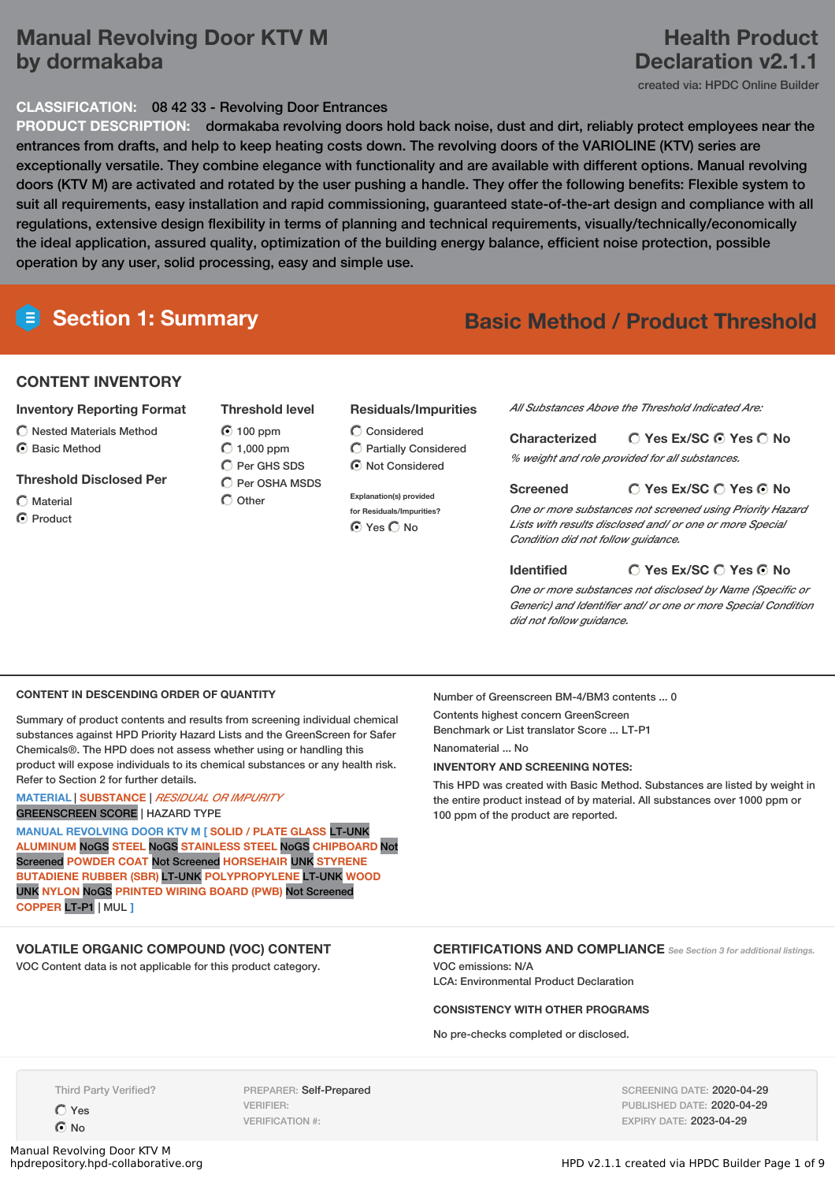# **Manual Revolving Door KTV M by dormakaba**

# **Health Product Declaration v2.1.1**

created via: HPDC Online Builder

### **CLASSIFICATION:** 08 42 33 - Revolving Door Entrances

**PRODUCT DESCRIPTION:** dormakaba revolving doors hold back noise, dust and dirt, reliably protect employees near the entrances from drafts, and help to keep heating costs down. The revolving doors of the VARIOLINE (KTV) series are exceptionally versatile. They combine elegance with functionality and are available with different options. Manual revolving doors (KTV M) are activated and rotated by the user pushing a handle. They offer the following benefits: Flexible system to suit all requirements, easy installation and rapid commissioning, guaranteed state-of-the-art design and compliance with all regulations, extensive design flexibility in terms of planning and technical requirements, visually/technically/economically the ideal application, assured quality, optimization of the building energy balance, efficient noise protection, possible operation by any user, solid processing, easy and simple use.

# **Section 1: Summary Basic Method / Product Threshold**

### **CONTENT INVENTORY**

### **Inventory Reporting Format**

- $\bigcirc$  Nested Materials Method
- **6** Basic Method
- **Threshold Disclosed Per**
- $\bigcap$  Material
- C Product
- **Threshold level 100 ppm**  $\bigcirc$  1,000 ppm
- C Per GHS SDS  $\overline{O}$  Per OSHA MSDS  $O$  Other

# **Residuals/Impurities**

Considered Partially Considered  $\bigcirc$  Not Considered

**Explanation(s) provided for Residuals/Impurities?** ⊙ Yes O No

*All Substances Above the Threshold Indicated Are:*

**Yes Ex/SC Yes No Characterized** *% weight and role provided for all substances.*

### **Screened**

### **Yes Ex/SC Yes No**

*One or more substances not screened using Priority Hazard Lists with results disclosed and/ or one or more Special Condition did not follow guidance.*

#### **Identified**

**Yes Ex/SC Yes No**

*One or more substances not disclosed by Name (Specific or Generic) and Identifier and/ or one or more Special Condition did not follow guidance.*

### **CONTENT IN DESCENDING ORDER OF QUANTITY**

Summary of product contents and results from screening individual chemical substances against HPD Priority Hazard Lists and the GreenScreen for Safer Chemicals®. The HPD does not assess whether using or handling this product will expose individuals to its chemical substances or any health risk. Refer to Section 2 for further details.

### **MATERIAL** | **SUBSTANCE** | *RESIDUAL OR IMPURITY* GREENSCREEN SCORE | HAZARD TYPE

**MANUAL REVOLVING DOOR KTV M [ SOLID / PLATE GLASS** LT-UNK **ALUMINUM** NoGS **STEEL** NoGS **STAINLESS STEEL** NoGS **CHIPBOARD** Not Screened **POWDER COAT** Not Screened **HORSEHAIR** UNK **STYRENE BUTADIENE RUBBER (SBR)** LT-UNK **POLYPROPYLENE** LT-UNK **WOOD** UNK **NYLON** NoGS **PRINTED WIRING BOARD (PWB)** Not Screened **COPPER** LT-P1 | MUL **]**

## **VOLATILE ORGANIC COMPOUND (VOC) CONTENT**

VOC Content data is not applicable for this product category.

Number of Greenscreen BM-4/BM3 contents ... 0 Contents highest concern GreenScreen Benchmark or List translator Score ... LT-P1 Nanomaterial No **INVENTORY AND SCREENING NOTES:**

This HPD was created with Basic Method. Substances are listed by weight in the entire product instead of by material. All substances over 1000 ppm or 100 ppm of the product are reported.

### **CERTIFICATIONS AND COMPLIANCE** *See Section <sup>3</sup> for additional listings.*

VOC emissions: N/A LCA: Environmental Product Declaration

### **CONSISTENCY WITH OTHER PROGRAMS**

No pre-checks completed or disclosed.

Third Party Verified?

Yes  $\odot$  No

Manual Revolving Door KTV M<br>hpdrepository.hpd-collaborative.org

PREPARER: Self-Prepared VERIFIER: VERIFICATION #:

SCREENING DATE: 2020-04-29 PUBLISHED DATE: 2020-04-29 EXPIRY DATE: 2023-04-29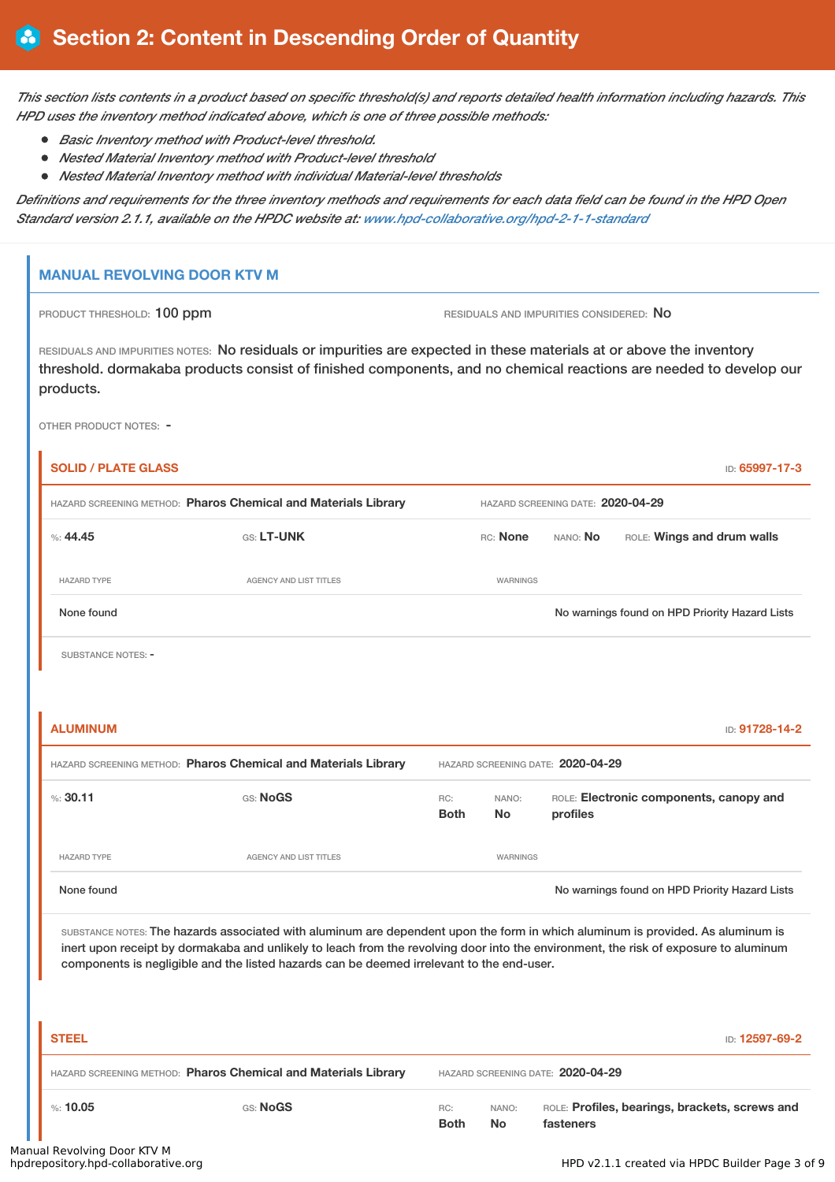This section lists contents in a product based on specific threshold(s) and reports detailed health information including hazards. This *HPD uses the inventory method indicated above, which is one of three possible methods:*

- *Basic Inventory method with Product-level threshold.*
- *Nested Material Inventory method with Product-level threshold*
- *Nested Material Inventory method with individual Material-level thresholds*

Definitions and requirements for the three inventory methods and requirements for each data field can be found in the HPD Open *Standard version 2.1.1, available on the HPDC website at: [www.hpd-collaborative.org/hpd-2-1-1-standard](https://www.hpd-collaborative.org/hpd-2-1-1-standard)*

### **MANUAL REVOLVING DOOR KTV M**

PRODUCT THRESHOLD: 100 ppm **RESIDUALS** AND IMPURITIES CONSIDERED: No

RESIDUALS AND IMPURITIES NOTES: No residuals or impurities are expected in these materials at or above the inventory threshold. dormakaba products consist of finished components, and no chemical reactions are needed to develop our products.

OTHER PRODUCT NOTES: -

| HAZARD SCREENING METHOD: Pharos Chemical and Materials Library |                                                                                                                                                                                                                                                                                                                                                                      |                    | HAZARD SCREENING DATE: 2020-04-29 |                                   |  |                                                |  |  |
|----------------------------------------------------------------|----------------------------------------------------------------------------------------------------------------------------------------------------------------------------------------------------------------------------------------------------------------------------------------------------------------------------------------------------------------------|--------------------|-----------------------------------|-----------------------------------|--|------------------------------------------------|--|--|
| %: 44.45                                                       | GS: LT-UNK                                                                                                                                                                                                                                                                                                                                                           |                    | RC: None                          | NANO: No                          |  | ROLE: Wings and drum walls                     |  |  |
| <b>HAZARD TYPE</b>                                             | AGENCY AND LIST TITLES                                                                                                                                                                                                                                                                                                                                               |                    | WARNINGS                          |                                   |  |                                                |  |  |
| None found                                                     |                                                                                                                                                                                                                                                                                                                                                                      |                    |                                   |                                   |  | No warnings found on HPD Priority Hazard Lists |  |  |
| <b>SUBSTANCE NOTES: -</b>                                      |                                                                                                                                                                                                                                                                                                                                                                      |                    |                                   |                                   |  |                                                |  |  |
| <b>ALUMINUM</b>                                                |                                                                                                                                                                                                                                                                                                                                                                      |                    |                                   |                                   |  | ID: 91728-14-2                                 |  |  |
|                                                                | HAZARD SCREENING METHOD: Pharos Chemical and Materials Library                                                                                                                                                                                                                                                                                                       |                    |                                   | HAZARD SCREENING DATE: 2020-04-29 |  |                                                |  |  |
| %30.11                                                         | GS: NoGS                                                                                                                                                                                                                                                                                                                                                             | RC:<br><b>Both</b> | NANO:<br><b>No</b>                | profiles                          |  | ROLE: Electronic components, canopy and        |  |  |
| <b>HAZARD TYPE</b>                                             | <b>AGENCY AND LIST TITLES</b>                                                                                                                                                                                                                                                                                                                                        |                    | WARNINGS                          |                                   |  |                                                |  |  |
| None found                                                     |                                                                                                                                                                                                                                                                                                                                                                      |                    |                                   |                                   |  | No warnings found on HPD Priority Hazard Lists |  |  |
|                                                                | SUBSTANCE NOTES: The hazards associated with aluminum are dependent upon the form in which aluminum is provided. As aluminum is<br>inert upon receipt by dormakaba and unlikely to leach from the revolving door into the environment, the risk of exposure to aluminum<br>components is negligible and the listed hazards can be deemed irrelevant to the end-user. |                    |                                   |                                   |  |                                                |  |  |
|                                                                |                                                                                                                                                                                                                                                                                                                                                                      |                    |                                   |                                   |  |                                                |  |  |
| <b>STEEL</b>                                                   |                                                                                                                                                                                                                                                                                                                                                                      |                    |                                   |                                   |  |                                                |  |  |
|                                                                | HAZARD SCREENING METHOD: Pharos Chemical and Materials Library                                                                                                                                                                                                                                                                                                       |                    |                                   | HAZARD SCREENING DATE: 2020-04-29 |  | ID: 12597-69-2                                 |  |  |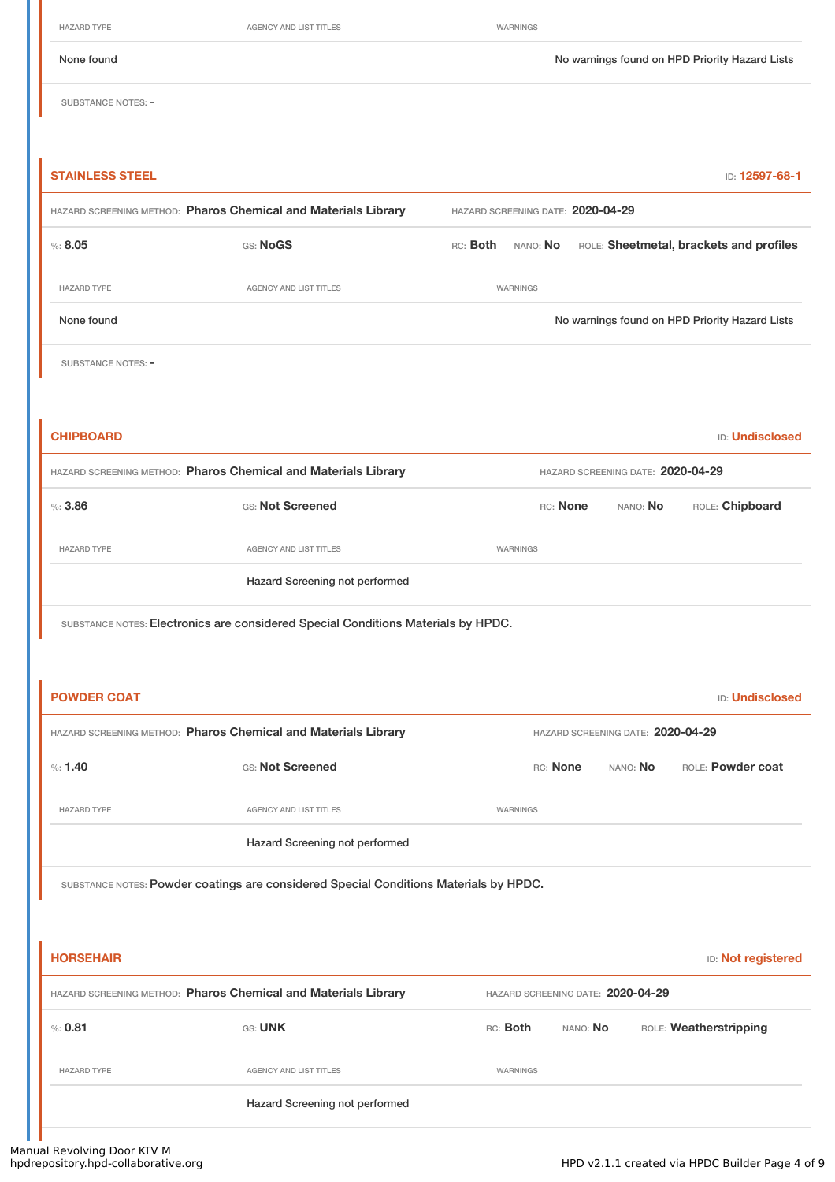HAZARD TYPE **AGENCY AND LIST TITLES** WARNINGS

None found Now arrings found on HPD Priority Hazard Lists

SUBSTANCE NOTES: -

| <b>STAINLESS STEEL</b>                                                                |                                                                                   |          |                 |                                   |                                   | ID: 12597-68-1                                 |
|---------------------------------------------------------------------------------------|-----------------------------------------------------------------------------------|----------|-----------------|-----------------------------------|-----------------------------------|------------------------------------------------|
| HAZARD SCREENING METHOD: Pharos Chemical and Materials Library                        |                                                                                   |          |                 | HAZARD SCREENING DATE: 2020-04-29 |                                   |                                                |
| % : 8.05                                                                              | GS: NoGS                                                                          | RC: Both | NANO: No        |                                   |                                   | ROLE: Sheetmetal, brackets and profiles        |
| <b>HAZARD TYPE</b>                                                                    | AGENCY AND LIST TITLES                                                            |          | WARNINGS        |                                   |                                   |                                                |
| None found                                                                            |                                                                                   |          |                 |                                   |                                   | No warnings found on HPD Priority Hazard Lists |
| <b>SUBSTANCE NOTES: -</b>                                                             |                                                                                   |          |                 |                                   |                                   |                                                |
|                                                                                       |                                                                                   |          |                 |                                   |                                   |                                                |
| <b>CHIPBOARD</b>                                                                      |                                                                                   |          |                 |                                   |                                   | <b>ID: Undisclosed</b>                         |
| HAZARD SCREENING METHOD: Pharos Chemical and Materials Library                        |                                                                                   |          |                 |                                   | HAZARD SCREENING DATE: 2020-04-29 |                                                |
| %: 3.86                                                                               | GS: Not Screened                                                                  |          |                 | RC: None                          | NANO: No                          | ROLE: Chipboard                                |
| <b>HAZARD TYPE</b>                                                                    | AGENCY AND LIST TITLES                                                            |          | WARNINGS        |                                   |                                   |                                                |
|                                                                                       | Hazard Screening not performed                                                    |          |                 |                                   |                                   |                                                |
|                                                                                       | SUBSTANCE NOTES: Electronics are considered Special Conditions Materials by HPDC. |          |                 |                                   |                                   |                                                |
|                                                                                       |                                                                                   |          |                 |                                   |                                   |                                                |
| <b>POWDER COAT</b>                                                                    |                                                                                   |          |                 |                                   |                                   | <b>ID: Undisclosed</b>                         |
| HAZARD SCREENING METHOD: Pharos Chemical and Materials Library                        |                                                                                   |          |                 |                                   | HAZARD SCREENING DATE: 2020-04-29 |                                                |
| %1.40                                                                                 | GS: Not Screened                                                                  |          |                 | RC: None                          | NANO: No                          | ROLE: Powder coat                              |
| <b>HAZARD TYPE</b>                                                                    | <b>AGENCY AND LIST TITLES</b>                                                     |          | WARNINGS        |                                   |                                   |                                                |
|                                                                                       | Hazard Screening not performed                                                    |          |                 |                                   |                                   |                                                |
| SUBSTANCE NOTES: Powder coatings are considered Special Conditions Materials by HPDC. |                                                                                   |          |                 |                                   |                                   |                                                |
|                                                                                       |                                                                                   |          |                 |                                   |                                   |                                                |
| <b>HORSEHAIR</b>                                                                      |                                                                                   |          |                 |                                   |                                   | <b>ID:</b> Not registered                      |
| HAZARD SCREENING METHOD: Pharos Chemical and Materials Library                        |                                                                                   |          |                 |                                   | HAZARD SCREENING DATE: 2020-04-29 |                                                |
| %: 0.81                                                                               | GS: UNK                                                                           |          | RC: <b>Both</b> | NANO: No                          |                                   | ROLE: Weatherstripping                         |
| <b>HAZARD TYPE</b>                                                                    | AGENCY AND LIST TITLES                                                            |          | WARNINGS        |                                   |                                   |                                                |
|                                                                                       | Hazard Screening not performed                                                    |          |                 |                                   |                                   |                                                |
|                                                                                       |                                                                                   |          |                 |                                   |                                   |                                                |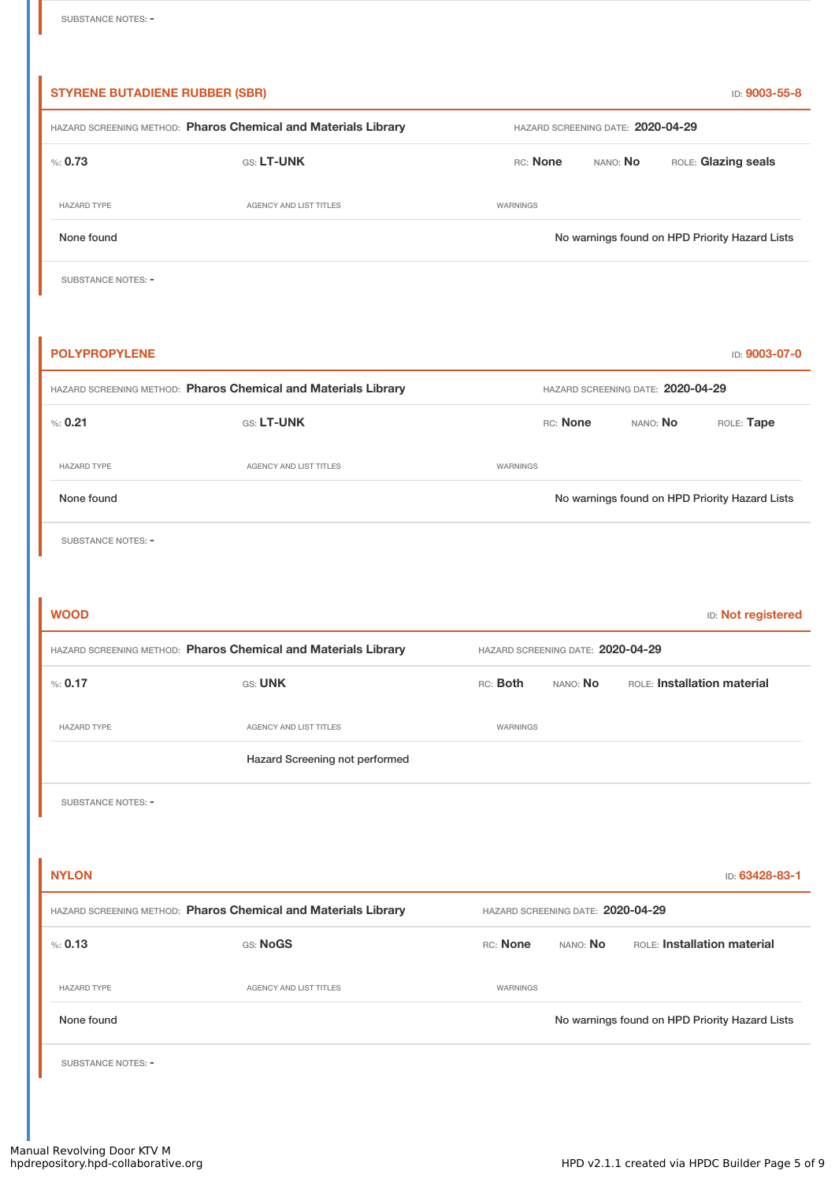| <b>STYRENE BUTADIENE RUBBER (SBR)</b> |                                                                |                                                |                     | ID: 9003-55-8                                  |  |  |  |
|---------------------------------------|----------------------------------------------------------------|------------------------------------------------|---------------------|------------------------------------------------|--|--|--|
|                                       | HAZARD SCREENING METHOD: Pharos Chemical and Materials Library | HAZARD SCREENING DATE: 2020-04-29              |                     |                                                |  |  |  |
| % 0.73                                | GS: LT-UNK                                                     | RC: None                                       | ROLE: Glazing seals |                                                |  |  |  |
| <b>HAZARD TYPE</b>                    | AGENCY AND LIST TITLES                                         | WARNINGS                                       |                     |                                                |  |  |  |
| None found                            |                                                                | No warnings found on HPD Priority Hazard Lists |                     |                                                |  |  |  |
| SUBSTANCE NOTES: -                    |                                                                |                                                |                     |                                                |  |  |  |
|                                       |                                                                |                                                |                     |                                                |  |  |  |
| <b>POLYPROPYLENE</b>                  |                                                                |                                                |                     | ID: 9003-07-0                                  |  |  |  |
|                                       | HAZARD SCREENING METHOD: Pharos Chemical and Materials Library |                                                |                     | HAZARD SCREENING DATE: 2020-04-29              |  |  |  |
| % 0.21                                | GS: LT-UNK                                                     | RC: None                                       |                     | ROLE: Tape<br>NANO: No                         |  |  |  |
| <b>HAZARD TYPE</b>                    | <b>AGENCY AND LIST TITLES</b>                                  | WARNINGS                                       |                     |                                                |  |  |  |
| None found                            |                                                                |                                                |                     | No warnings found on HPD Priority Hazard Lists |  |  |  |
| SUBSTANCE NOTES: -                    |                                                                |                                                |                     |                                                |  |  |  |
|                                       |                                                                |                                                |                     |                                                |  |  |  |
|                                       |                                                                |                                                |                     |                                                |  |  |  |
| <b>WOOD</b>                           |                                                                |                                                |                     | ID: Not registered                             |  |  |  |
|                                       | HAZARD SCREENING METHOD: Pharos Chemical and Materials Library | HAZARD SCREENING DATE: 2020-04-29              |                     |                                                |  |  |  |
| % 0.17                                | GS: UNK                                                        | RC: Both                                       | NANO: No            | ROLE: Installation material                    |  |  |  |
| <b>HAZARD TYPE</b>                    | <b>AGENCY AND LIST TITLES</b>                                  | WARNINGS                                       |                     |                                                |  |  |  |
|                                       | Hazard Screening not performed                                 |                                                |                     |                                                |  |  |  |
| <b>SUBSTANCE NOTES: -</b>             |                                                                |                                                |                     |                                                |  |  |  |
|                                       |                                                                |                                                |                     |                                                |  |  |  |
| <b>NYLON</b>                          |                                                                |                                                |                     | ID: 63428-83-1                                 |  |  |  |
|                                       | HAZARD SCREENING METHOD: Pharos Chemical and Materials Library | HAZARD SCREENING DATE: 2020-04-29              |                     |                                                |  |  |  |
| % 0.13                                | GS: NoGS                                                       | RC: None                                       | nano: <b>No</b>     | ROLE: Installation material                    |  |  |  |
| <b>HAZARD TYPE</b>                    | <b>AGENCY AND LIST TITLES</b>                                  | WARNINGS                                       |                     |                                                |  |  |  |
| None found                            |                                                                |                                                |                     | No warnings found on HPD Priority Hazard Lists |  |  |  |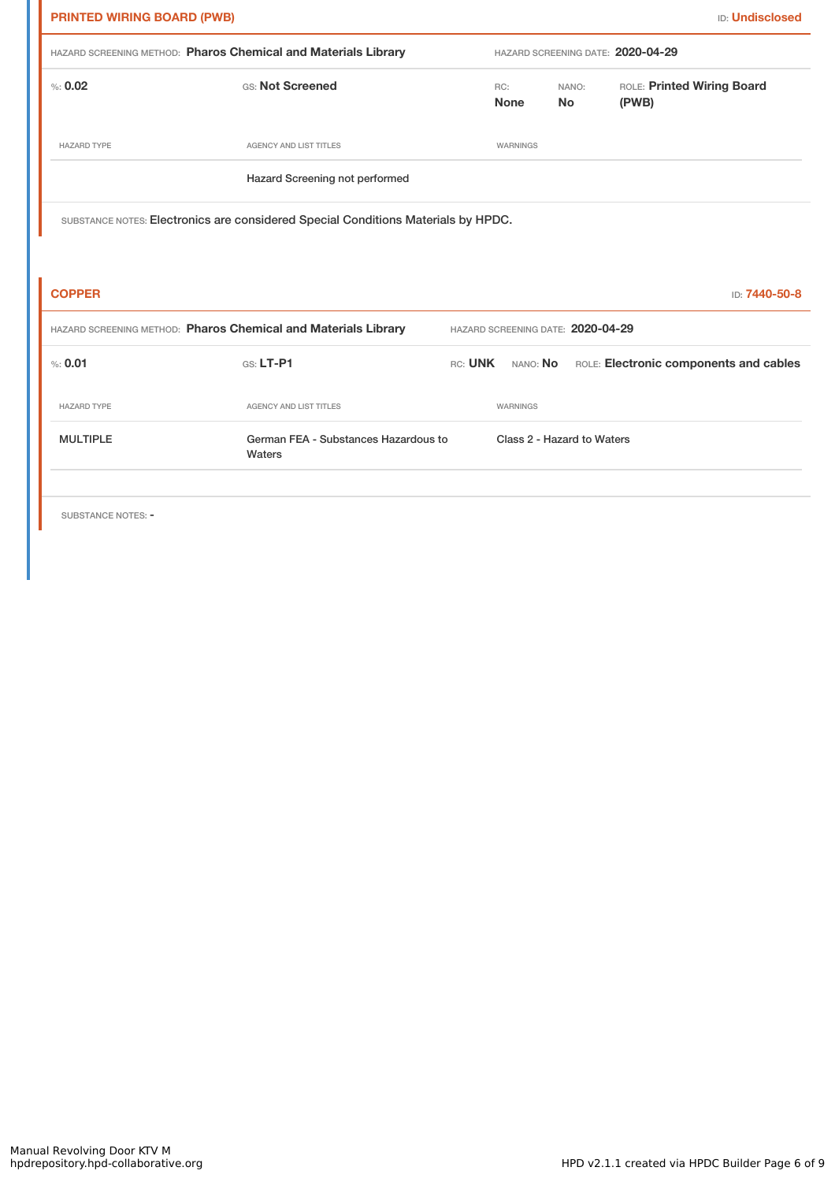| <b>ID: Undisclosed</b><br><b>PRINTED WIRING BOARD (PWB)</b> |                                                                                   |                |                                   |                    |                                        |               |
|-------------------------------------------------------------|-----------------------------------------------------------------------------------|----------------|-----------------------------------|--------------------|----------------------------------------|---------------|
|                                                             | HAZARD SCREENING METHOD: Pharos Chemical and Materials Library                    |                |                                   |                    | HAZARD SCREENING DATE: 2020-04-29      |               |
| % : 0.02                                                    | GS: Not Screened                                                                  |                | RC:<br><b>None</b>                | NANO:<br><b>No</b> | ROLE: Printed Wiring Board<br>(PWB)    |               |
| <b>HAZARD TYPE</b>                                          | <b>AGENCY AND LIST TITLES</b>                                                     |                | WARNINGS                          |                    |                                        |               |
|                                                             | Hazard Screening not performed                                                    |                |                                   |                    |                                        |               |
|                                                             | SUBSTANCE NOTES: Electronics are considered Special Conditions Materials by HPDC. |                |                                   |                    |                                        |               |
| <b>COPPER</b>                                               |                                                                                   |                |                                   |                    |                                        | ID: 7440-50-8 |
|                                                             | HAZARD SCREENING METHOD: Pharos Chemical and Materials Library                    |                | HAZARD SCREENING DATE: 2020-04-29 |                    |                                        |               |
| % 0.01                                                      | GS: LT-P1                                                                         | RC: <b>UNK</b> | nano: <b>No</b>                   |                    | ROLE: Electronic components and cables |               |
| <b>HAZARD TYPE</b>                                          | <b>AGENCY AND LIST TITLES</b>                                                     |                | WARNINGS                          |                    |                                        |               |
| <b>MULTIPLE</b>                                             | German FEA - Substances Hazardous to<br>Waters                                    |                | Class 2 - Hazard to Waters        |                    |                                        |               |

SUBSTANCE NOTES: -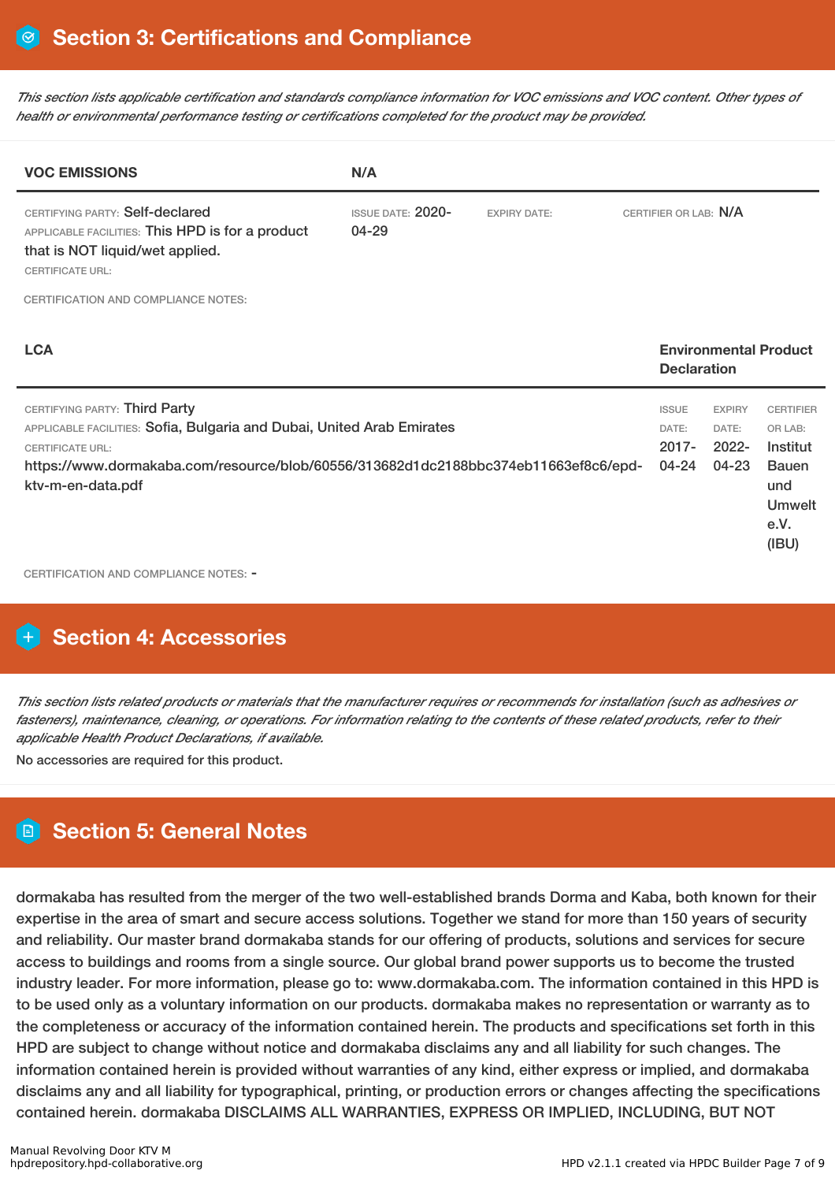This section lists applicable certification and standards compliance information for VOC emissions and VOC content. Other types of *health or environmental performance testing or certifications completed for the product may be provided.*

| <b>VOC EMISSIONS</b>                                                                                                                                                                                                                           | N/A                                   |                     |                                            |                                             |                                                                                                  |
|------------------------------------------------------------------------------------------------------------------------------------------------------------------------------------------------------------------------------------------------|---------------------------------------|---------------------|--------------------------------------------|---------------------------------------------|--------------------------------------------------------------------------------------------------|
| CERTIFYING PARTY: Self-declared<br>APPLICABLE FACILITIES: This HPD is for a product<br>that is NOT liquid/wet applied.<br><b>CERTIFICATE URL:</b>                                                                                              | <b>ISSUE DATE: 2020-</b><br>$04 - 29$ | <b>EXPIRY DATE:</b> | CERTIFIER OR LAB: N/A                      |                                             |                                                                                                  |
| <b>CERTIFICATION AND COMPLIANCE NOTES:</b>                                                                                                                                                                                                     |                                       |                     |                                            |                                             |                                                                                                  |
| <b>LCA</b>                                                                                                                                                                                                                                     |                                       |                     | <b>Declaration</b>                         |                                             | <b>Environmental Product</b>                                                                     |
| CERTIFYING PARTY: Third Party<br>APPLICABLE FACILITIES: Sofia, Bulgaria and Dubai, United Arab Emirates<br><b>CERTIFICATE URL:</b><br>https://www.dormakaba.com/resource/blob/60556/313682d1dc2188bbc374eb11663ef8c6/epd-<br>ktv-m-en-data.pdf |                                       |                     | <b>ISSUE</b><br>DATE:<br>$2017 -$<br>04-24 | <b>EXPIRY</b><br>DATE:<br>$2022 -$<br>04-23 | <b>CERTIFIER</b><br>OR LAB:<br>Institut<br><b>Bauen</b><br>und<br><b>Umwelt</b><br>e.V.<br>(IBU) |

CERTIFICATION AND COMPLIANCE NOTES: -

# **Section 4: Accessories**

This section lists related products or materials that the manufacturer requires or recommends for installation (such as adhesives or fasteners), maintenance, cleaning, or operations. For information relating to the contents of these related products, refer to their *applicable Health Product Declarations, if available.*

No accessories are required for this product.

# **Section 5: General Notes**

dormakaba has resulted from the merger of the two well-established brands Dorma and Kaba, both known for their expertise in the area of smart and secure access solutions. Together we stand for more than 150 years of security and reliability. Our master brand dormakaba stands for our offering of products, solutions and services for secure access to buildings and rooms from a single source. Our global brand power supports us to become the trusted industry leader. For more information, please go to: www.dormakaba.com. The information contained in this HPD is to be used only as a voluntary information on our products. dormakaba makes no representation or warranty as to the completeness or accuracy of the information contained herein. The products and specifications set forth in this HPD are subject to change without notice and dormakaba disclaims any and all liability for such changes. The information contained herein is provided without warranties of any kind, either express or implied, and dormakaba disclaims any and all liability for typographical, printing, or production errors or changes affecting the specifications contained herein. dormakaba DISCLAIMS ALL WARRANTIES, EXPRESS OR IMPLIED, INCLUDING, BUT NOT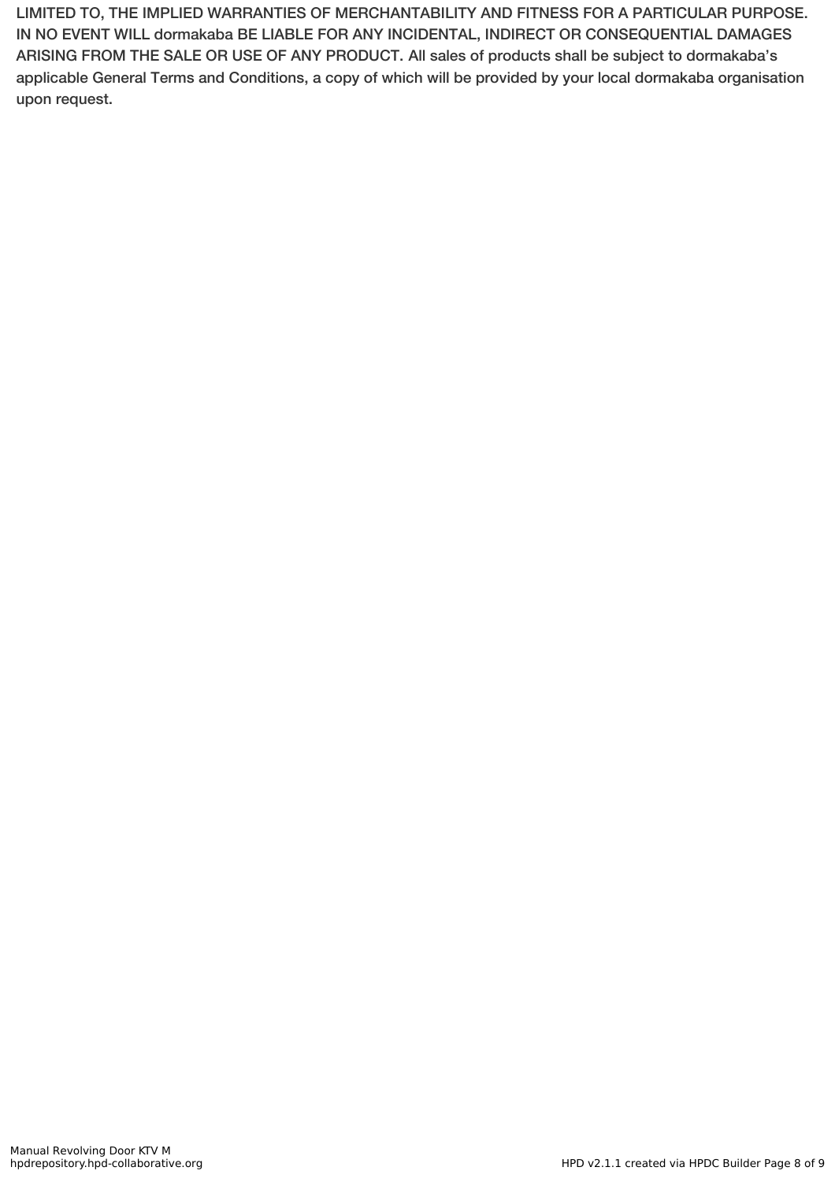LIMITED TO, THE IMPLIED WARRANTIES OF MERCHANTABILITY AND FITNESS FOR A PARTICULAR PURPOSE. IN NO EVENT WILL dormakaba BE LIABLE FOR ANY INCIDENTAL, INDIRECT OR CONSEQUENTIAL DAMAGES ARISING FROM THE SALE OR USE OF ANY PRODUCT. All sales of products shall be subject to dormakaba's applicable General Terms and Conditions, a copy of which will be provided by your local dormakaba organisation upon request.